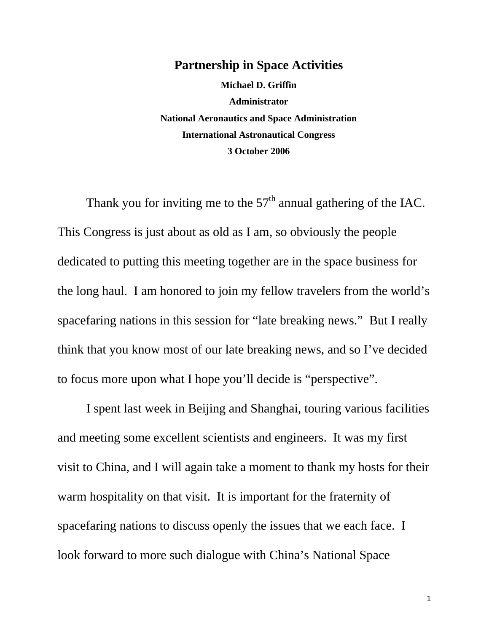## **Partnership in Space Activities**

**Michael D. Griffin Administrator National Aeronautics and Space Administration International Astronautical Congress 3 October 2006** 

Thank you for inviting me to the  $57<sup>th</sup>$  annual gathering of the IAC. This Congress is just about as old as I am, so obviously the people dedicated to putting this meeting together are in the space business for the long haul. I am honored to join my fellow travelers from the world's spacefaring nations in this session for "late breaking news." But I really think that you know most of our late breaking news, and so I've decided to focus more upon what I hope you'll decide is "perspective".

I spent last week in Beijing and Shanghai, touring various facilities and meeting some excellent scientists and engineers. It was my first visit to China, and I will again take a moment to thank my hosts for their warm hospitality on that visit. It is important for the fraternity of spacefaring nations to discuss openly the issues that we each face. I look forward to more such dialogue with China's National Space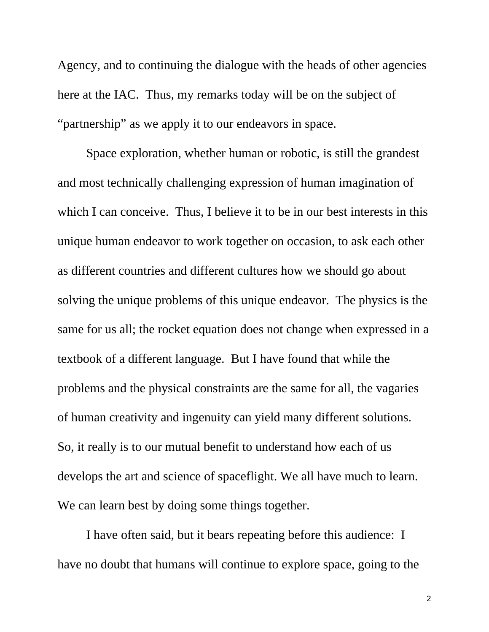Agency, and to continuing the dialogue with the heads of other agencies here at the IAC. Thus, my remarks today will be on the subject of "partnership" as we apply it to our endeavors in space.

Space exploration, whether human or robotic, is still the grandest and most technically challenging expression of human imagination of which I can conceive. Thus, I believe it to be in our best interests in this unique human endeavor to work together on occasion, to ask each other as different countries and different cultures how we should go about solving the unique problems of this unique endeavor. The physics is the same for us all; the rocket equation does not change when expressed in a textbook of a different language. But I have found that while the problems and the physical constraints are the same for all, the vagaries of human creativity and ingenuity can yield many different solutions. So, it really is to our mutual benefit to understand how each of us develops the art and science of spaceflight. We all have much to learn. We can learn best by doing some things together.

I have often said, but it bears repeating before this audience: I have no doubt that humans will continue to explore space, going to the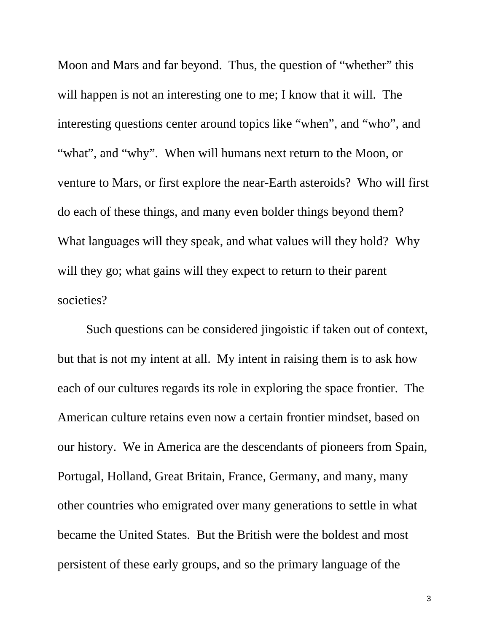Moon and Mars and far beyond. Thus, the question of "whether" this will happen is not an interesting one to me; I know that it will. The interesting questions center around topics like "when", and "who", and "what", and "why". When will humans next return to the Moon, or venture to Mars, or first explore the near-Earth asteroids? Who will first do each of these things, and many even bolder things beyond them? What languages will they speak, and what values will they hold? Why will they go; what gains will they expect to return to their parent societies?

Such questions can be considered jingoistic if taken out of context, but that is not my intent at all. My intent in raising them is to ask how each of our cultures regards its role in exploring the space frontier. The American culture retains even now a certain frontier mindset, based on our history. We in America are the descendants of pioneers from Spain, Portugal, Holland, Great Britain, France, Germany, and many, many other countries who emigrated over many generations to settle in what became the United States. But the British were the boldest and most persistent of these early groups, and so the primary language of the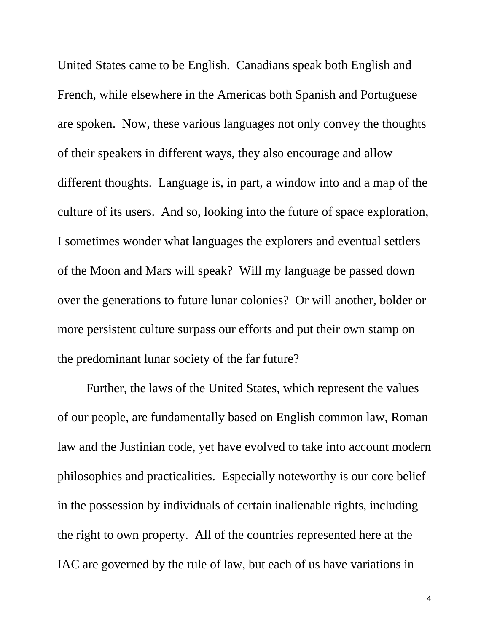United States came to be English. Canadians speak both English and French, while elsewhere in the Americas both Spanish and Portuguese are spoken. Now, these various languages not only convey the thoughts of their speakers in different ways, they also encourage and allow different thoughts. Language is, in part, a window into and a map of the culture of its users. And so, looking into the future of space exploration, I sometimes wonder what languages the explorers and eventual settlers of the Moon and Mars will speak? Will my language be passed down over the generations to future lunar colonies? Or will another, bolder or more persistent culture surpass our efforts and put their own stamp on the predominant lunar society of the far future?

Further, the laws of the United States, which represent the values of our people, are fundamentally based on English common law, Roman law and the Justinian code, yet have evolved to take into account modern philosophies and practicalities. Especially noteworthy is our core belief in the possession by individuals of certain inalienable rights, including the right to own property. All of the countries represented here at the IAC are governed by the rule of law, but each of us have variations in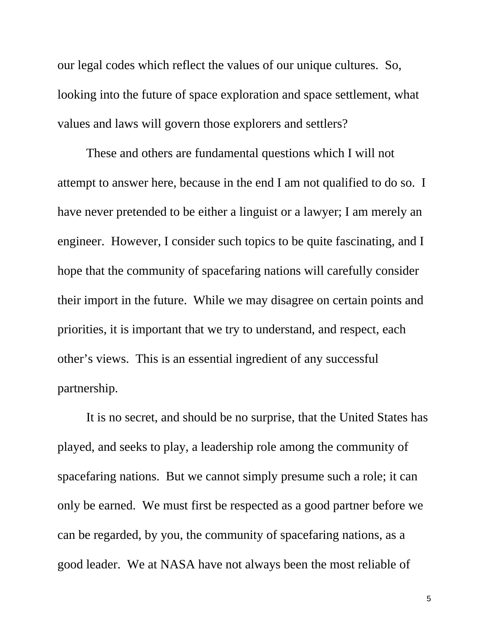our legal codes which reflect the values of our unique cultures. So, looking into the future of space exploration and space settlement, what values and laws will govern those explorers and settlers?

These and others are fundamental questions which I will not attempt to answer here, because in the end I am not qualified to do so. I have never pretended to be either a linguist or a lawyer; I am merely an engineer. However, I consider such topics to be quite fascinating, and I hope that the community of spacefaring nations will carefully consider their import in the future. While we may disagree on certain points and priorities, it is important that we try to understand, and respect, each other's views. This is an essential ingredient of any successful partnership.

It is no secret, and should be no surprise, that the United States has played, and seeks to play, a leadership role among the community of spacefaring nations. But we cannot simply presume such a role; it can only be earned. We must first be respected as a good partner before we can be regarded, by you, the community of spacefaring nations, as a good leader. We at NASA have not always been the most reliable of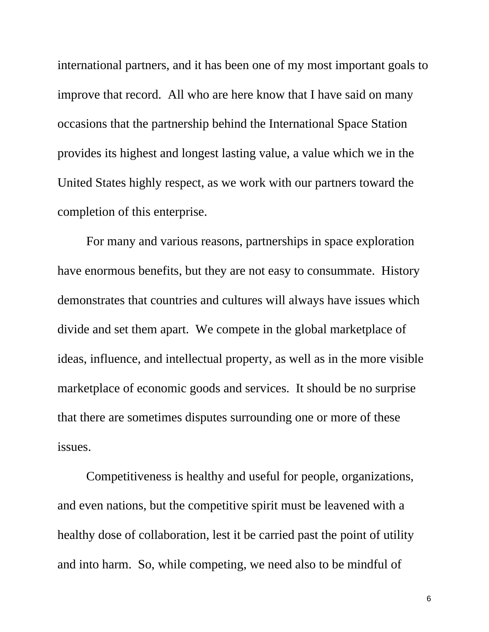international partners, and it has been one of my most important goals to improve that record. All who are here know that I have said on many occasions that the partnership behind the International Space Station provides its highest and longest lasting value, a value which we in the United States highly respect, as we work with our partners toward the completion of this enterprise.

For many and various reasons, partnerships in space exploration have enormous benefits, but they are not easy to consummate. History demonstrates that countries and cultures will always have issues which divide and set them apart. We compete in the global marketplace of ideas, influence, and intellectual property, as well as in the more visible marketplace of economic goods and services. It should be no surprise that there are sometimes disputes surrounding one or more of these issues.

Competitiveness is healthy and useful for people, organizations, and even nations, but the competitive spirit must be leavened with a healthy dose of collaboration, lest it be carried past the point of utility and into harm. So, while competing, we need also to be mindful of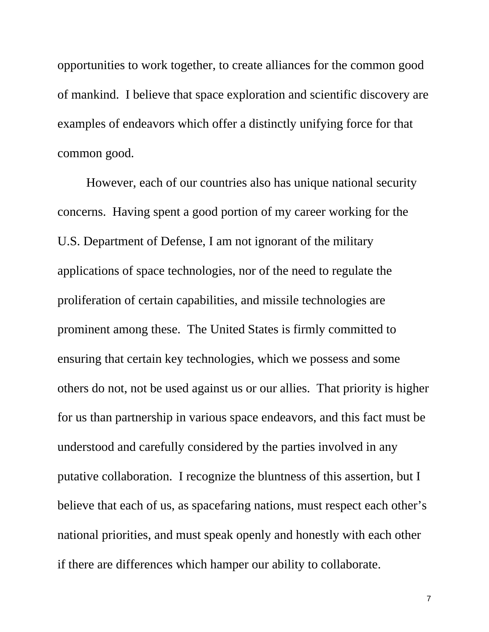opportunities to work together, to create alliances for the common good of mankind. I believe that space exploration and scientific discovery are examples of endeavors which offer a distinctly unifying force for that common good.

However, each of our countries also has unique national security concerns. Having spent a good portion of my career working for the U.S. Department of Defense, I am not ignorant of the military applications of space technologies, nor of the need to regulate the proliferation of certain capabilities, and missile technologies are prominent among these. The United States is firmly committed to ensuring that certain key technologies, which we possess and some others do not, not be used against us or our allies. That priority is higher for us than partnership in various space endeavors, and this fact must be understood and carefully considered by the parties involved in any putative collaboration. I recognize the bluntness of this assertion, but I believe that each of us, as spacefaring nations, must respect each other's national priorities, and must speak openly and honestly with each other if there are differences which hamper our ability to collaborate.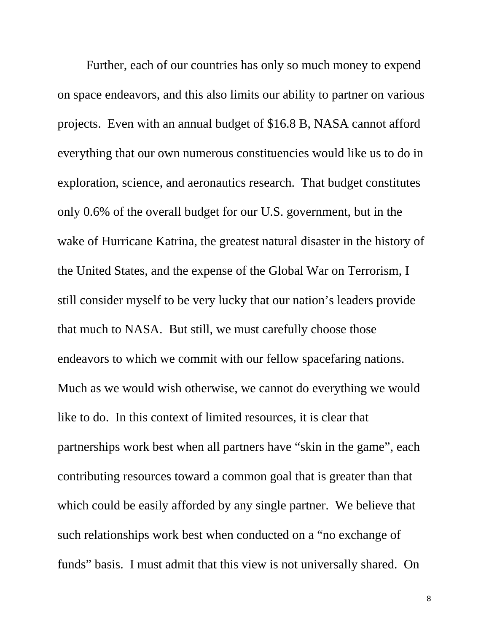Further, each of our countries has only so much money to expend on space endeavors, and this also limits our ability to partner on various projects. Even with an annual budget of \$16.8 B, NASA cannot afford everything that our own numerous constituencies would like us to do in exploration, science, and aeronautics research. That budget constitutes only 0.6% of the overall budget for our U.S. government, but in the wake of Hurricane Katrina, the greatest natural disaster in the history of the United States, and the expense of the Global War on Terrorism, I still consider myself to be very lucky that our nation's leaders provide that much to NASA. But still, we must carefully choose those endeavors to which we commit with our fellow spacefaring nations. Much as we would wish otherwise, we cannot do everything we would like to do. In this context of limited resources, it is clear that partnerships work best when all partners have "skin in the game", each contributing resources toward a common goal that is greater than that which could be easily afforded by any single partner. We believe that such relationships work best when conducted on a "no exchange of funds" basis. I must admit that this view is not universally shared. On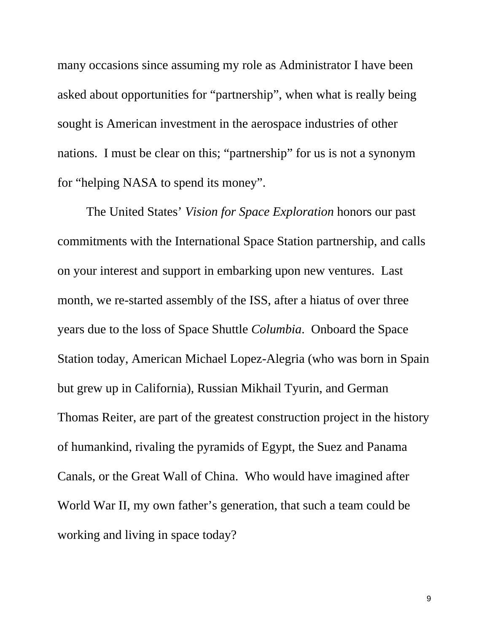many occasions since assuming my role as Administrator I have been asked about opportunities for "partnership", when what is really being sought is American investment in the aerospace industries of other nations. I must be clear on this; "partnership" for us is not a synonym for "helping NASA to spend its money".

The United States' *Vision for Space Exploration* honors our past commitments with the International Space Station partnership, and calls on your interest and support in embarking upon new ventures. Last month, we re-started assembly of the ISS, after a hiatus of over three years due to the loss of Space Shuttle *Columbia*. Onboard the Space Station today, American Michael Lopez-Alegria (who was born in Spain but grew up in California), Russian Mikhail Tyurin, and German Thomas Reiter, are part of the greatest construction project in the history of humankind, rivaling the pyramids of Egypt, the Suez and Panama Canals, or the Great Wall of China. Who would have imagined after World War II, my own father's generation, that such a team could be working and living in space today?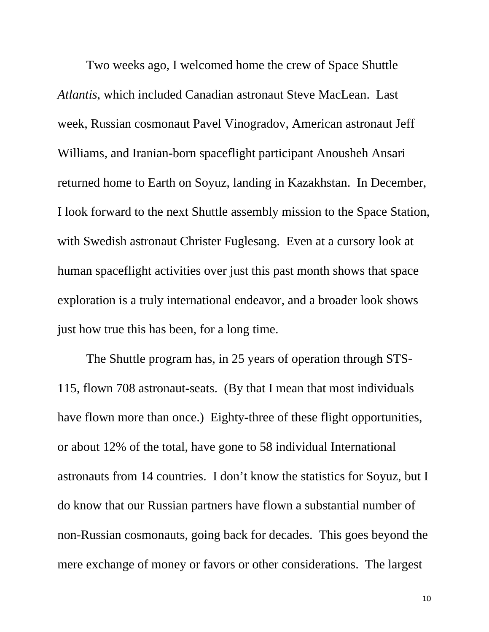Two weeks ago, I welcomed home the crew of Space Shuttle *Atlantis*, which included Canadian astronaut Steve MacLean. Last week, Russian cosmonaut Pavel Vinogradov, American astronaut Jeff Williams, and Iranian-born spaceflight participant Anousheh Ansari returned home to Earth on Soyuz, landing in Kazakhstan. In December, I look forward to the next Shuttle assembly mission to the Space Station, with Swedish astronaut Christer Fuglesang. Even at a cursory look at human spaceflight activities over just this past month shows that space exploration is a truly international endeavor, and a broader look shows just how true this has been, for a long time.

The Shuttle program has, in 25 years of operation through STS-115, flown 708 astronaut-seats. (By that I mean that most individuals have flown more than once.) Eighty-three of these flight opportunities, or about 12% of the total, have gone to 58 individual International astronauts from 14 countries. I don't know the statistics for Soyuz, but I do know that our Russian partners have flown a substantial number of non-Russian cosmonauts, going back for decades. This goes beyond the mere exchange of money or favors or other considerations. The largest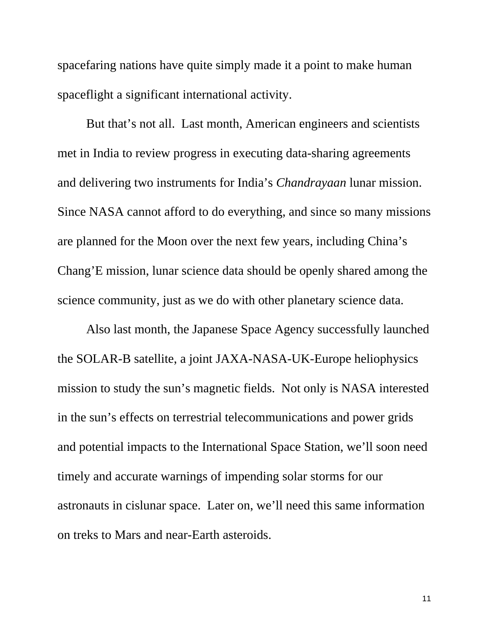spacefaring nations have quite simply made it a point to make human spaceflight a significant international activity.

But that's not all. Last month, American engineers and scientists met in India to review progress in executing data-sharing agreements and delivering two instruments for India's *Chandrayaan* lunar mission. Since NASA cannot afford to do everything, and since so many missions are planned for the Moon over the next few years, including China's Chang'E mission, lunar science data should be openly shared among the science community, just as we do with other planetary science data.

Also last month, the Japanese Space Agency successfully launched the SOLAR-B satellite, a joint JAXA-NASA-UK-Europe heliophysics mission to study the sun's magnetic fields. Not only is NASA interested in the sun's effects on terrestrial telecommunications and power grids and potential impacts to the International Space Station, we'll soon need timely and accurate warnings of impending solar storms for our astronauts in cislunar space. Later on, we'll need this same information on treks to Mars and near-Earth asteroids.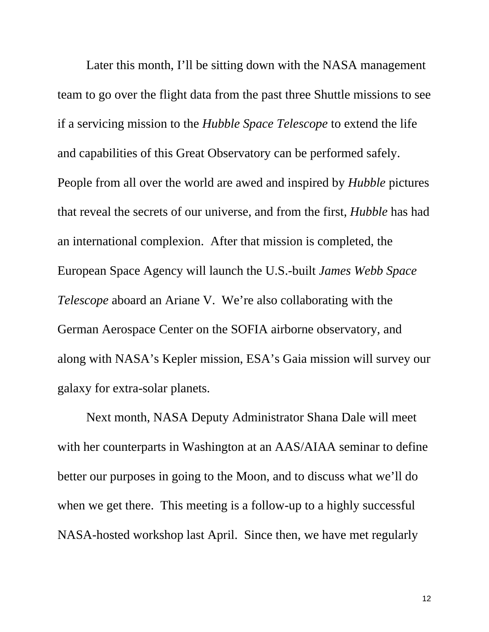Later this month, I'll be sitting down with the NASA management team to go over the flight data from the past three Shuttle missions to see if a servicing mission to the *Hubble Space Telescope* to extend the life and capabilities of this Great Observatory can be performed safely. People from all over the world are awed and inspired by *Hubble* pictures that reveal the secrets of our universe, and from the first, *Hubble* has had an international complexion. After that mission is completed, the European Space Agency will launch the U.S.-built *James Webb Space Telescope* aboard an Ariane V. We're also collaborating with the German Aerospace Center on the SOFIA airborne observatory, and along with NASA's Kepler mission, ESA's Gaia mission will survey our galaxy for extra-solar planets.

Next month, NASA Deputy Administrator Shana Dale will meet with her counterparts in Washington at an AAS/AIAA seminar to define better our purposes in going to the Moon, and to discuss what we'll do when we get there. This meeting is a follow-up to a highly successful NASA-hosted workshop last April. Since then, we have met regularly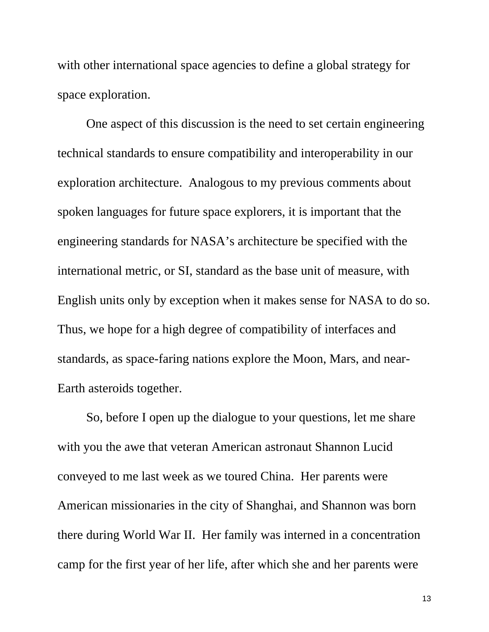with other international space agencies to define a global strategy for space exploration.

One aspect of this discussion is the need to set certain engineering technical standards to ensure compatibility and interoperability in our exploration architecture. Analogous to my previous comments about spoken languages for future space explorers, it is important that the engineering standards for NASA's architecture be specified with the international metric, or SI, standard as the base unit of measure, with English units only by exception when it makes sense for NASA to do so. Thus, we hope for a high degree of compatibility of interfaces and standards, as space-faring nations explore the Moon, Mars, and near-Earth asteroids together.

So, before I open up the dialogue to your questions, let me share with you the awe that veteran American astronaut Shannon Lucid conveyed to me last week as we toured China. Her parents were American missionaries in the city of Shanghai, and Shannon was born there during World War II. Her family was interned in a concentration camp for the first year of her life, after which she and her parents were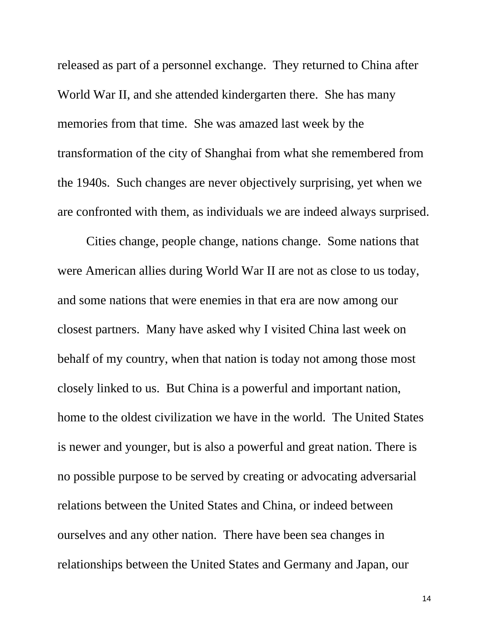released as part of a personnel exchange. They returned to China after World War II, and she attended kindergarten there. She has many memories from that time. She was amazed last week by the transformation of the city of Shanghai from what she remembered from the 1940s. Such changes are never objectively surprising, yet when we are confronted with them, as individuals we are indeed always surprised.

Cities change, people change, nations change. Some nations that were American allies during World War II are not as close to us today, and some nations that were enemies in that era are now among our closest partners. Many have asked why I visited China last week on behalf of my country, when that nation is today not among those most closely linked to us. But China is a powerful and important nation, home to the oldest civilization we have in the world. The United States is newer and younger, but is also a powerful and great nation. There is no possible purpose to be served by creating or advocating adversarial relations between the United States and China, or indeed between ourselves and any other nation. There have been sea changes in relationships between the United States and Germany and Japan, our